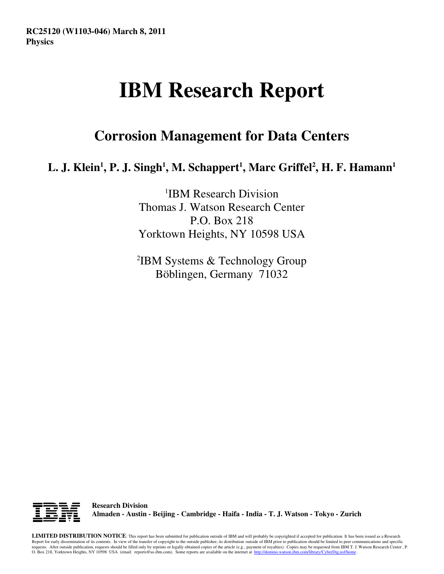# **IBM Research Report**

## **Corrosion Management for Data Centers**

### **L. J. Klein<sup>1</sup> , P. J. Singh<sup>1</sup> , M. Schappert<sup>1</sup> , Marc Griffel<sup>2</sup> , H. F. Hamann<sup>1</sup>**

1 IBM Research Division Thomas J. Watson Research Center P.O. Box 218 Yorktown Heights, NY 10598 USA

2 IBM Systems & Technology Group Böblingen, Germany 71032



**Research Division Almaden - Austin - Beijing - Cambridge - Haifa - India - T. J. Watson - Tokyo - Zurich**

**LIMITED DISTRIBUTION NOTICE**: This report has been submitted for publication outside of IBM and will probably be copyrighted if accepted for publication. It has been issued as a Research Report for early dissemination of its contents. In view of the transfer of copyright to the outside publisher, its distribution outside of IBM prior to publication should be limited to peer communications and specific requests. After outside publication, requests should be filled only by reprints or legally obtained copies of the article (e.g., payment of royalties). Copies may be requested from IBM T. J. Watson Research Center , P.<br>O.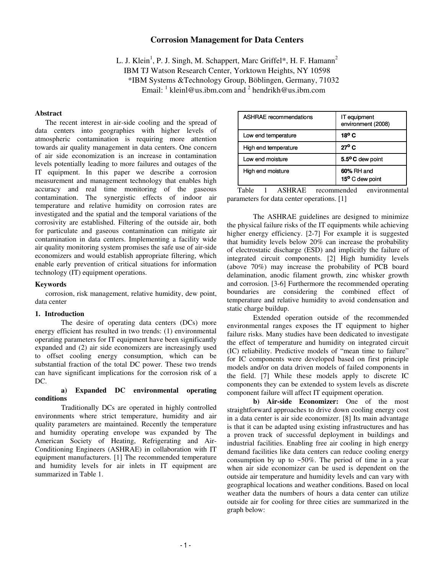#### **Corrosion Management for Data Centers**

L. J. Klein<sup>1</sup>, P. J. Singh, M. Schappert, Marc Griffel\*, H. F. Hamann<sup>2</sup> IBM TJ Watson Research Center, Yorktown Heights, NY 10598 \*IBM Systems &Technology Group, Böblingen, Germany, 71032 Email:  $\frac{1}{2}$  kleinl@us.ibm.com and  $\frac{2}{2}$  hendrikh@us.ibm.com

#### **Abstract**

The recent interest in air-side cooling and the spread of data centers into geographies with higher levels of atmospheric contamination is requiring more attention towards air quality management in data centers. One concern of air side economization is an increase in contamination levels potentially leading to more failures and outages of the IT equipment. In this paper we describe a corrosion measurement and management technology that enables high accuracy and real time monitoring of the gaseous contamination. The synergistic effects of indoor air temperature and relative humidity on corrosion rates are investigated and the spatial and the temporal variations of the corrosivity are established. Filtering of the outside air, both for particulate and gaseous contamination can mitigate air contamination in data centers. Implementing a facility wide air quality monitoring system promises the safe use of air-side economizers and would establish appropriate filtering, which enable early prevention of critical situations for information technology (IT) equipment operations.

#### **Keywords**

corrosion, risk management, relative humidity, dew point, data center

#### **1. Introduction**

The desire of operating data centers (DCs) more energy efficient has resulted in two trends: (1) environmental operating parameters for IT equipment have been significantly expanded and (2) air side economizers are increasingly used to offset cooling energy consumption, which can be substantial fraction of the total DC power. These two trends can have significant implications for the corrosion risk of a DC.

#### **a) Expanded DC environmental operating conditions**

Traditionally DCs are operated in highly controlled environments where strict temperature, humidity and air quality parameters are maintained. Recently the temperature and humidity operating envelope was expanded by The American Society of Heating, Refrigerating and Air-Conditioning Engineers (ASHRAE) in collaboration with IT equipment manufacturers. [1] The recommended temperature and humidity levels for air inlets in IT equipment are summarized in Table 1.

| <b>ASHRAE</b> recommendations | IT equipment<br>environment (2008) |  |
|-------------------------------|------------------------------------|--|
| Low end temperature           | 18 $^{\circ}$ C                    |  |
| High end temperature          | $27^{\circ}$ C                     |  |
| Low end moisture              | 5.5°C dew point                    |  |
| High end moisture             | 60% RH and<br>15° C dew point      |  |

Table 1 ASHRAE recommended environmental parameters for data center operations. [1]

The ASHRAE guidelines are designed to minimize the physical failure risks of the IT equipments while achieving higher energy efficiency. [2-7] For example it is suggested that humidity levels below 20% can increase the probability of electrostatic discharge (ESD) and implicitly the failure of integrated circuit components. [2] High humidity levels (above 70%) may increase the probability of PCB board delamination, anodic filament growth, zinc whisker growth and corrosion. [3-6] Furthermore the recommended operating boundaries are considering the combined effect of temperature and relative humidity to avoid condensation and static charge buildup.

Extended operation outside of the recommended environmental ranges exposes the IT equipment to higher failure risks. Many studies have been dedicated to investigate the effect of temperature and humidity on integrated circuit (IC) reliability. Predictive models of "mean time to failure" for IC components were developed based on first principle models and/or on data driven models of failed components in the field. [7] While these models apply to discrete IC components they can be extended to system levels as discrete component failure will affect IT equipment operation.

**b) Air-side Economizer:** One of the most straightforward approaches to drive down cooling energy cost in a data center is air side economizer. [8] Its main advantage is that it can be adapted using existing infrastructures and has a proven track of successful deployment in buildings and industrial facilities. Enabling free air cooling in high energy demand facilities like data centers can reduce cooling energy consumption by up to  $\sim 50\%$ . The period of time in a year when air side economizer can be used is dependent on the outside air temperature and humidity levels and can vary with geographical locations and weather conditions. Based on local weather data the numbers of hours a data center can utilize outside air for cooling for three cities are summarized in the graph below: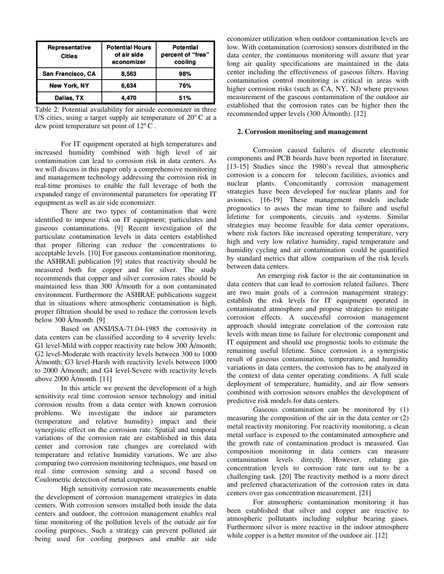| Representative<br><b>Cities</b> | <b>Potential Hours</b><br>of air side<br>economizer | <b>Potential</b><br>percent of "free"<br>cooling |
|---------------------------------|-----------------------------------------------------|--------------------------------------------------|
| San Francisco, CA               | 8.563                                               | 98%                                              |
| <b>New York, NY</b>             | 6,634                                               | 76%                                              |
| Dallas, TX                      | 4.470                                               | 51%                                              |

Table 2: Potential availability for airside economizer in three US cities, using a target supply air temperature of  $20^{\circ}$ C at a dew point temperature set point of 12º C .

For IT equipment operated at high temperatures and increased humidity combined with high level of air contamination can lead to corrosion risk in data centers. As we will discuss in this paper only a comprehensive monitoring and management technology addressing the corrosion risk in real-time promises to enable the full leverage of both the expanded range of environmental parameters for operating IT equipment as well as air side economizer.

There are two types of contamination that were identified to impose risk on IT equipment; particulates and gaseous contaminations. [9] Recent investigation of the particulate contamination levels in data centers established that proper filtering can reduce the concentrations to acceptable levels. [10] For gaseous contamination monitoring, the ASHRAE publication [9] states that reactivity should be measured both for copper and for silver. The study recommends that copper and silver corrosion rates should be maintained less than 300 Å/month for a non contaminated environment. Furthermore the ASHRAE publications suggest that in situations where atmospheric contamination is high, proper filtration should be used to reduce the corrosion levels below 300 Å/month. [9]

Based on ANSI/ISA-71.04-1985 the corrosivity in data centers can be classified according to 4 severity levels: G1 level-Mild with copper reactivity rate below 300 Å/month; G2 level-Moderate with reactivity levels between 300 to 1000 Å/month; G3 level-Harsh with reactivity levels between 1000 to 2000 Å/month; and G4 level-Severe with reactivity levels above 2000 Å/month. [11]

In this article we present the development of a high sensitivity real time corrosion sensor technology and initial corrosion results from a data center with known corrosion problems. We investigate the indoor air parameters (temperature and relative humidity) impact and their synergistic effect on the corrosion rate. Spatial and temporal variations of the corrosion rate are established in this data center and corrosion rate changes are correlated with temperature and relative humidity variations. We are also comparing two corrosion monitoring techniques, one based on real time corrosion sensing and a second based on Coulometric detection of metal coupons.

High sensitivity corrosion rate measurements enable the development of corrosion management strategies in data centers. With corrosion sensors installed both inside the data centers and outdoor, the corrosion management enables real time monitoring of the pollution levels of the outside air for cooling purposes. Such a strategy can prevent polluted air being used for cooling purposes and enable air side economizer utilization when outdoor contamination levels are low. With contamination (corrosion) sensors distributed in the data center, the continuous monitoring will assure that year long air quality specifications are maintained in the data center including the effectiveness of gaseous filters. Having contamination control monitoring is critical in areas with higher corrosion risks (such as CA, NY, NJ) where previous measurement of the gaseous contamination of the outdoor air established that the corrosion rates can be higher then the recommended upper levels (300 Å/month). [12]

#### **2. Corrosion monitoring and management**

Corrosion caused failures of discrete electronic components and PCB boards have been reported in literature. [13-15] Studies since the 1980's reveal that atmospheric corrosion is a concern for telecom facilities, avionics and nuclear plants. Concomitantly corrosion management strategies have been developed for nuclear plants and for avionics. [16-19] These management models include prognostics to asses the mean time to failure and useful lifetime for components, circuits and systems. Similar strategies may become feasible for data center operations, where risk factors like increased operating temperature, very high and very low relative humidity, rapid temperature and humidity cycling and air contamination could be quantified by standard metrics that allow comparison of the risk levels between data centers.

 An emerging risk factor is the air contamination in data centers that can lead to corrosion related failures. There are two main goals of a corrosion management strategy: establish the risk levels for IT equipment operated in contaminated atmosphere and propose strategies to mitigate corrosion effects. A successful corrosion management approach should integrate correlation of the corrosion rate levels with mean time to failure for electronic component and IT equipment and should use prognostic tools to estimate the remaining useful lifetime. Since corrosion is a synergistic result of gaseous contamination, temperature, and humidity variations in data centers, the corrosion has to be analyzed in the context of data center operating conditions. A full scale deployment of temperature, humidity, and air flow sensors combined with corrosion sensors enables the development of predictive risk models for data centers.

Gaseous contamination can be monitored by (1) measuring the composition of the air in the data center or (2) metal reactivity monitoring. For reactivity monitoring, a clean metal surface is exposed to the contaminated atmosphere and the growth rate of contamination product is measured. Gas composition monitoring in data centers can measure contamination levels directly. However, relating gas concentration levels to corrosion rate turn out to be a challenging task. [20] The reactivity method is a more direct and preferred characterization of the corrosion rates in data centers over gas concentration measurement. [21]

For atmospheric contamination monitoring it has been established that silver and copper are reactive to atmospheric pollutants including sulphur bearing gases. Furthermore silver is more reactive in the indoor atmosphere while copper is a better monitor of the outdoor air. [12]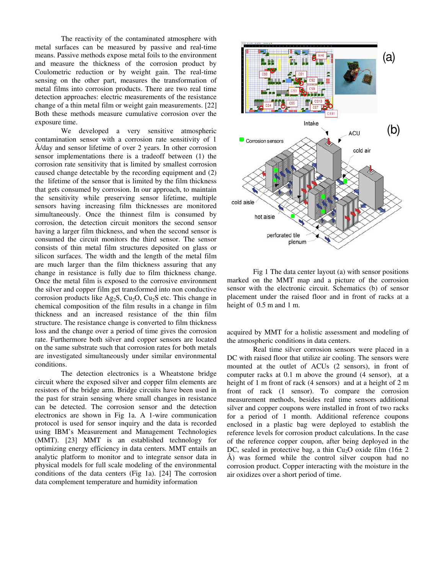The reactivity of the contaminated atmosphere with metal surfaces can be measured by passive and real-time means. Passive methods expose metal foils to the environment and measure the thickness of the corrosion product by Coulometric reduction or by weight gain. The real-time sensing on the other part, measures the transformation of metal films into corrosion products. There are two real time detection approaches: electric measurements of the resistance change of a thin metal film or weight gain measurements. [22] Both these methods measure cumulative corrosion over the exposure time.

We developed a very sensitive atmospheric contamination sensor with a corrosion rate sensitivity of 1 Å/day and sensor lifetime of over 2 years. In other corrosion sensor implementations there is a tradeoff between (1) the corrosion rate sensitivity that is limited by smallest corrosion caused change detectable by the recording equipment and (2) the lifetime of the sensor that is limited by the film thickness that gets consumed by corrosion. In our approach, to maintain the sensitivity while preserving sensor lifetime, multiple sensors having increasing film thicknesses are monitored simultaneously. Once the thinnest film is consumed by corrosion, the detection circuit monitors the second sensor having a larger film thickness, and when the second sensor is consumed the circuit monitors the third sensor. The sensor consists of thin metal film structures deposited on glass or silicon surfaces. The width and the length of the metal film are much larger than the film thickness assuring that any change in resistance is fully due to film thickness change. Once the metal film is exposed to the corrosive environment the silver and copper film get transformed into non conductive corrosion products like Ag<sub>2</sub>S, Cu<sub>2</sub>O, Cu<sub>2</sub>S etc. This change in chemical composition of the film results in a change in film thickness and an increased resistance of the thin film structure. The resistance change is converted to film thickness loss and the change over a period of time gives the corrosion rate. Furthermore both silver and copper sensors are located on the same substrate such that corrosion rates for both metals are investigated simultaneously under similar environmental conditions.

The detection electronics is a Wheatstone bridge circuit where the exposed silver and copper film elements are resistors of the bridge arm. Bridge circuits have been used in the past for strain sensing where small changes in resistance can be detected. The corrosion sensor and the detection electronics are shown in Fig 1a. A 1-wire communication protocol is used for sensor inquiry and the data is recorded using IBM's Measurement and Management Technologies (MMT). [23] MMT is an established technology for optimizing energy efficiency in data centers. MMT entails an analytic platform to monitor and to integrate sensor data in physical models for full scale modeling of the environmental conditions of the data centers (Fig 1a). [24] The corrosion data complement temperature and humidity information



Fig 1 The data center layout (a) with sensor positions marked on the MMT map and a picture of the corrosion sensor with the electronic circuit. Schematics (b) of sensor placement under the raised floor and in front of racks at a height of  $0.5$  m and 1 m.

acquired by MMT for a holistic assessment and modeling of the atmospheric conditions in data centers.

Real time silver corrosion sensors were placed in a DC with raised floor that utilize air cooling. The sensors were mounted at the outlet of ACUs (2 sensors), in front of computer racks at 0.1 m above the ground (4 sensor), at a height of 1 m front of rack (4 sensors) and at a height of 2 m front of rack (1 sensor). To compare the corrosion measurement methods, besides real time sensors additional silver and copper coupons were installed in front of two racks for a period of 1 month. Additional reference coupons enclosed in a plastic bag were deployed to establish the reference levels for corrosion product calculations. In the case of the reference copper coupon, after being deployed in the DC, sealed in protective bag, a thin Cu<sub>2</sub>O oxide film  $(16± 2)$ Å) was formed while the control silver coupon had no corrosion product. Copper interacting with the moisture in the air oxidizes over a short period of time.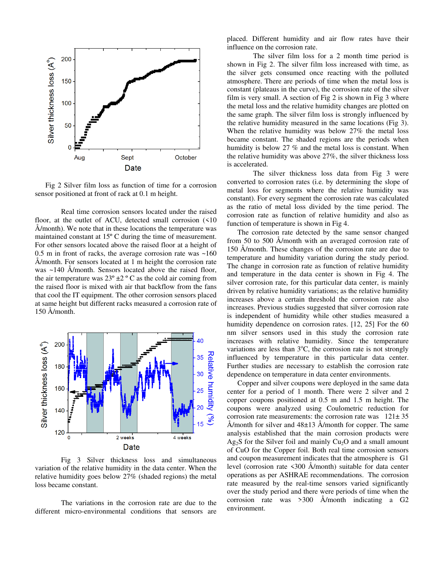

Fig 2 Silver film loss as function of time for a corrosion sensor positioned at front of rack at 0.1 m height.

Real time corrosion sensors located under the raised floor, at the outlet of ACU, detected small corrosion (<10 Å/month). We note that in these locations the temperature was maintained constant at 15º C during the time of measurement. For other sensors located above the raised floor at a height of 0.5 m in front of racks, the average corrosion rate was ~160 Å/month. For sensors located at 1 m height the corrosion rate was ~140 Å/month. Sensors located above the raised floor, the air temperature was  $23^{\circ} \pm 2^{\circ}$  C as the cold air coming from the raised floor is mixed with air that backflow from the fans that cool the IT equipment. The other corrosion sensors placed at same height but different racks measured a corrosion rate of 150 Å/month.



Fig 3 Silver thickness loss and simultaneous variation of the relative humidity in the data center. When the relative humidity goes below 27% (shaded regions) the metal loss became constant.

The variations in the corrosion rate are due to the different micro-environmental conditions that sensors are placed. Different humidity and air flow rates have their influence on the corrosion rate.

The silver film loss for a 2 month time period is shown in Fig 2. The silver film loss increased with time, as the silver gets consumed once reacting with the polluted atmosphere. There are periods of time when the metal loss is constant (plateaus in the curve), the corrosion rate of the silver film is very small. A section of Fig 2 is shown in Fig 3 where the metal loss and the relative humidity changes are plotted on the same graph. The silver film loss is strongly influenced by the relative humidity measured in the same locations (Fig 3). When the relative humidity was below 27% the metal loss became constant. The shaded regions are the periods when humidity is below 27 % and the metal loss is constant. When the relative humidity was above 27%, the silver thickness loss is accelerated.

The silver thickness loss data from Fig 3 were converted to corrosion rates (i.e. by determining the slope of metal loss for segments where the relative humidity was constant). For every segment the corrosion rate was calculated as the ratio of metal loss divided by the time period. The corrosion rate as function of relative humidity and also as function of temperature is shown in Fig 4.

The corrosion rate detected by the same sensor changed from 50 to 500 Å/month with an averaged corrosion rate of 150 Å/month. These changes of the corrosion rate are due to temperature and humidity variation during the study period. The change in corrosion rate as function of relative humidity and temperature in the data center is shown in Fig 4. The silver corrosion rate, for this particular data center, is mainly driven by relative humidity variations; as the relative humidity increases above a certain threshold the corrosion rate also increases. Previous studies suggested that silver corrosion rate is independent of humidity while other studies measured a humidity dependence on corrosion rates. [12, 25] For the 60 nm silver sensors used in this study the corrosion rate increases with relative humidity. Since the temperature variations are less than  $3^{\circ}$ C, the corrosion rate is not strongly influenced by temperature in this particular data center. Further studies are necessary to establish the corrosion rate dependence on temperature in data center environments.

Copper and silver coupons were deployed in the same data center for a period of 1 month. There were 2 silver and 2 copper coupons positioned at 0.5 m and 1.5 m height. The coupons were analyzed using Coulometric reduction for corrosion rate measurements: the corrosion rate was  $121 \pm 35$ Å/month for silver and  $48\pm13$  Å/month for copper. The same analysis established that the main corrosion products were  $Ag<sub>2</sub>S$  for the Silver foil and mainly Cu<sub>2</sub>O and a small amount of CuO for the Copper foil. Both real time corrosion sensors and coupon measurement indicates that the atmosphere is G1 level (corrosion rate <300 Å/month) suitable for data center operations as per ASHRAE recommendations. The corrosion rate measured by the real-time sensors varied significantly over the study period and there were periods of time when the corrosion rate was >300 Å/month indicating a G2 environment.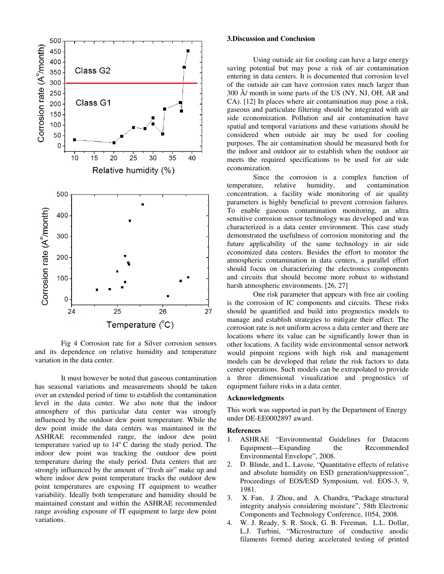

Fig 4 Corrosion rate for a Silver corrosion sensors and its dependence on relative humidity and temperature variation in the data center.

It must however be noted that gaseous contamination has seasonal variations and measurements should be taken over an extended period of time to establish the contamination level in the data center. We also note that the indoor atmosphere of this particular data center was strongly influenced by the outdoor dew point temperature. While the dew point inside the data centers was maintained in the ASHRAE recommended range, the indoor dew point temperature varied up to  $14^{\circ}$  C during the study period. The indoor dew point was tracking the outdoor dew point temperature during the study period. Data centers that are strongly influenced by the amount of "fresh air" make up and where indoor dew point temperature tracks the outdoor dew point temperatures are exposing IT equipment to weather variability. Ideally both temperature and humidity should be maintained constant and within the ASHRAE recommended range avoiding exposure of IT equipment to large dew point variations.

#### **3.Discussion and Conclusion**

Using outside air for cooling can have a large energy saving potential but may pose a risk of air contamination entering in data centers. It is documented that corrosion level of the outside air can have corrosion rates much larger than 300 Å/ month in some parts of the US (NY, NJ, OH, AR and CA). [12] In places where air contamination may pose a risk, gaseous and particulate filtering should be integrated with air side economization. Pollution and air contamination have spatial and temporal variations and these variations should be considered when outside air may be used for cooling purposes. The air contamination should be measured both for the indoor and outdoor air to establish when the outdoor air meets the required specifications to be used for air side economization.

Since the corrosion is a complex function of temperature, relative humidity, and contamination concentration, a facility wide monitoring of air quality parameters is highly beneficial to prevent corrosion failures. To enable gaseous contamination monitoring, an ultra sensitive corrosion sensor technology was developed and was characterized is a data center environment. This case study demonstrated the usefulness of corrosion monitoring and the future applicability of the same technology in air side economized data centers. Besides the effort to monitor the atmospheric contamination in data centers, a parallel effort should focus on characterizing the electronics components and circuits that should become more robust to withstand harsh atmospheric environments. [26, 27]

One risk parameter that appears with free air cooling is the corrosion of IC components and circuits. These risks should be quantified and build into prognostics models to manage and establish strategies to mitigate their effect. The corrosion rate is not uniform across a data center and there are locations where its value can be significantly lower than in other locations. A facility wide environmental sensor network would pinpoint regions with high risk and management models can be developed that relate the risk factors to data center operations. Such models can be extrapolated to provide a three dimensional visualization and prognostics of equipment failure risks in a data center.

#### **Acknowledgments**

This work was supported in part by the Department of Energy under DE-EE0002897 award.

#### **References**

- 1. ASHRAE "Environmental Guidelines for Datacom Equipment—Expanding the Recommended Environmental Envelope", 2008.
- 2. D. Blinde, and L. Lavoie, "Quantitative effects of relative and absolute humidity on ESD generation/suppression", Proceedings of EOS/ESD Symposium, vol. EOS-3, 9, 1981.
- 3. X. Fan, J. Zhou, and A. Chandra, "Package structural integrity analysis considering moisture", 58th Electronic Components and Technology Conference, 1054, 2008.
- 4. W. J. Ready, S. R. Stock, G. B. Freeman, L.L. Dollar, L.J. Turbini, "Microstructure of conductive anodic filaments formed during accelerated testing of printed